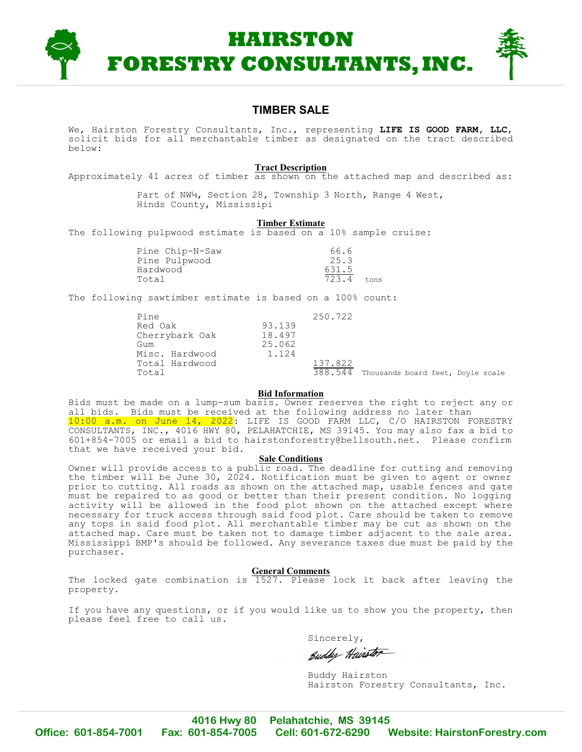

## **TIMBER SALE**

We, Hairston Forestry Consultants, Inc., representing **LIFE IS GOOD FARM, LLC**, solicit bids for all merchantable timber as designated on the tract described below:

### **Tract Description**

Approximately 41 acres of timber as shown on the attached map and described as:

Part of NW¼, Section 28, Township 3 North, Range 4 West, Hinds County, Mississipi

#### **Timber Estimate**

The following pulpwood estimate is based on a 10% sample cruise:

| Pine Chip-N-Saw | 66.6  |      |
|-----------------|-------|------|
| Pine Pulpwood   | 25.3  |      |
| Hardwood        | 631.5 |      |
| Total           | 723.4 | tons |

The following sawtimber estimate is based on a 100% count:

| Pine           |        | 250.722 |                                   |  |
|----------------|--------|---------|-----------------------------------|--|
| Red Oak        | 93.139 |         |                                   |  |
| Cherrybark Oak | 18.497 |         |                                   |  |
| Gum            | 25.062 |         |                                   |  |
| Misc. Hardwood | 1.124  |         |                                   |  |
| Total Hardwood |        | 137.822 |                                   |  |
| Total          |        | 388.544 | Thousands board feet, Doyle scale |  |

### **Bid Information**

Bids must be made on a lump-sum basis. Owner reserves the right to reject any or all bids. Bids must be received at the following address no later than 10:00 a.m. on June 14, 2022: LIFE IS GOOD FARM LLC, C/O HAIRSTON FORESTRY CONSULTANTS, INC., 4016 HWY 80, PELAHATCHIE, MS 39145. You may also fax a bid to 601+854-7005 or email a bid to hairstonforestry@bellsouth.net. Please confirm that we have received your bid.

### **Sale Conditions**

Owner will provide access to a public road. The deadline for cutting and removing the timber will be June 30, 2024. Notification must be given to agent or owner prior to cutting. All roads as shown on the attached map, usable fences and gate must be repaired to as good or better than their present condition. No logging activity will be allowed in the food plot shown on the attached except where necessary for truck access through said food plot. Care should be taken to remove any tops in said food plot. All merchantable timber may be cut as shown on the attached map. Care must be taken not to damage timber adjacent to the sale area. Mississippi BMP's should be followed. Any severance taxes due must be paid by the purchaser.

#### **General Comments**

The locked gate combination is 1527. Please lock it back after leaving the property.

If you have any questions, or if you would like us to show you the property, then please feel free to call us.

Sincerely,

Euddy Hairstor

Buddy Hairston Hairston Forestry Consultants, Inc.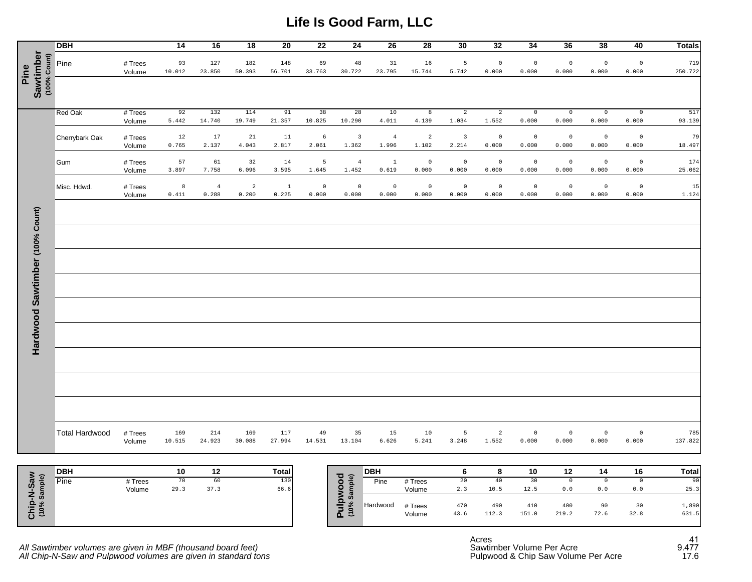# **Life Is Good Farm, LLC**

|                                     | <b>DBH</b>            |                   | 14            | 16                      | 18                      | 20                      | 22                   | 24                               | 26                      | 28                   | 30                               | 32                      | 34                   | 36                   | 38                   | 40                           | <b>Totals</b>  |
|-------------------------------------|-----------------------|-------------------|---------------|-------------------------|-------------------------|-------------------------|----------------------|----------------------------------|-------------------------|----------------------|----------------------------------|-------------------------|----------------------|----------------------|----------------------|------------------------------|----------------|
| Sawtimber<br>$(100%$ Count)<br>Pine | Pine                  | # Trees<br>Volume | 93<br>10.012  | 127<br>23.850           | 182<br>50.393           | 148<br>56.701           | 69<br>33.763         | 48<br>30.722                     | 31<br>23.795            | 16<br>15.744         | 5<br>5.742                       | $\mathbb O$<br>0.000    | $\mathbb O$<br>0.000 | $\mathbb O$<br>0.000 | $\mathbb O$<br>0.000 | $\mathsf 0$<br>0.000         | 719<br>250.722 |
|                                     |                       |                   |               |                         |                         |                         |                      |                                  |                         |                      |                                  |                         |                      |                      |                      |                              |                |
|                                     | <b>Red Oak</b>        | # Trees<br>Volume | 92<br>5.442   | 132<br>14.740           | 114<br>19.749           | 91<br>21.357            | 38<br>10.825         | 28<br>10.290                     | 10<br>4.011             | 8<br>4.139           | $\overline{a}$<br>1.034          | $\overline{a}$<br>1.552 | $\circ$<br>0.000     | $\mathbb O$<br>0.000 | $\mathbb O$<br>0.000 | $\circ$<br>0.000             | 517<br>93.139  |
|                                     | Cherrybark Oak        | # Trees<br>Volume | 12<br>0.765   | 17<br>2.137             | $21\,$<br>4.043         | $11\,$<br>2.817         | $\epsilon$<br>2.061  | $\overline{\mathbf{3}}$<br>1.362 | $\overline{4}$<br>1.996 | $\sqrt{2}$<br>1.102  | $\overline{\mathbf{3}}$<br>2.214 | $\mathbb O$<br>0.000    | $\mathbb O$<br>0.000 | $\mathbb O$<br>0.000 | $\circ$<br>0.000     | $\mathsf{O}\xspace$<br>0.000 | 79<br>18.497   |
|                                     | Gum                   | # Trees<br>Volume | 57<br>3.897   | 61<br>7.758             | 32<br>6.096             | 14<br>3.595             | 5<br>1.645           | $\overline{4}$<br>1.452          | $\,1\,$<br>0.619        | $\mathbb O$<br>0.000 | $\mathbb O$<br>0.000             | $\mathbb O$<br>0.000    | $\mathbb O$<br>0.000 | $\mathbb O$<br>0.000 | $\mathbb O$<br>0.000 | $\mathbb O$<br>0.000         | 174<br>25.062  |
|                                     | Misc. Hdwd.           | # Trees<br>Volume | 8<br>0.411    | $\overline{4}$<br>0.288 | $\overline{a}$<br>0.200 | $\overline{1}$<br>0.225 | $\mathbb O$<br>0.000 | $\mathbb O$<br>0.000             | $\mathbb O$<br>0.000    | $\mathbb O$<br>0.000 | $\mathbb O$<br>0.000             | $\mathbb O$<br>0.000    | $\mathbb O$<br>0.000 | $\mathbb O$<br>0.000 | $\mathbb O$<br>0.000 | $\mathsf{O}\xspace$<br>0.000 | 15<br>1.124    |
|                                     |                       |                   |               |                         |                         |                         |                      |                                  |                         |                      |                                  |                         |                      |                      |                      |                              |                |
|                                     |                       |                   |               |                         |                         |                         |                      |                                  |                         |                      |                                  |                         |                      |                      |                      |                              |                |
|                                     |                       |                   |               |                         |                         |                         |                      |                                  |                         |                      |                                  |                         |                      |                      |                      |                              |                |
|                                     |                       |                   |               |                         |                         |                         |                      |                                  |                         |                      |                                  |                         |                      |                      |                      |                              |                |
|                                     |                       |                   |               |                         |                         |                         |                      |                                  |                         |                      |                                  |                         |                      |                      |                      |                              |                |
| Hardwood Sawtimber (100% Count)     |                       |                   |               |                         |                         |                         |                      |                                  |                         |                      |                                  |                         |                      |                      |                      |                              |                |
|                                     |                       |                   |               |                         |                         |                         |                      |                                  |                         |                      |                                  |                         |                      |                      |                      |                              |                |
|                                     |                       |                   |               |                         |                         |                         |                      |                                  |                         |                      |                                  |                         |                      |                      |                      |                              |                |
|                                     |                       |                   |               |                         |                         |                         |                      |                                  |                         |                      |                                  |                         |                      |                      |                      |                              |                |
|                                     |                       |                   |               |                         |                         |                         |                      |                                  |                         |                      |                                  |                         |                      |                      |                      |                              |                |
|                                     | <b>Total Hardwood</b> | # Trees<br>Volume | 169<br>10.515 | 214<br>24.923           | 169<br>30.088           | 117<br>27.994           | 49<br>14.531         | 35<br>13.104                     | 15<br>6.626             | 10<br>5.241          | 5<br>3.248                       | $\overline{a}$<br>1.552 | $\circ$<br>0.000     | $\mathbb O$<br>0.000 | $\circ$<br>0.000     | $\circ$<br>0.000             | 785<br>137.822 |

|                     | <b>DBH</b> |         | 10   | 12   | Total |
|---------------------|------------|---------|------|------|-------|
| eje<br>S            | Pine       | # Trees | 70   | 60   | 130   |
| ဖိ<br>$\frac{1}{2}$ |            | Volume  | 29.3 | 37.3 | 66.6  |

| <b>DBH</b> |         | 10   | 12   | <b>Total</b> | ত ৯                          | <b>DBH</b> |                   |             |              | 10           | 12           | 14         | 16         | Total          |
|------------|---------|------|------|--------------|------------------------------|------------|-------------------|-------------|--------------|--------------|--------------|------------|------------|----------------|
| Pine       | # Trees | 70   | 60   | 130          | ਨ                            | Pine       | # Trees           | ∠∪          |              |              |              |            |            | 90             |
|            | Volume  | 29.3 | 37.3 | 66.6         |                              |            | Volume            | .           | 10.5         | 12.5         | 0.0          | 0.0        | 0.0        | 25.3           |
|            |         |      |      |              | $\mathbf{a}$<br>ທ<br>-<br>ΔΞ | Hardwood   | # Trees<br>Volume | 470<br>43.6 | 490<br>112.3 | 410<br>151.0 | 400<br>219.2 | 90<br>72.6 | 30<br>32.8 | 1,890<br>631.5 |

All Sawtimber volumes are given in MBF (thousand board feet) Sawtimber Volume Per Acre and the Sawtimber Volume Per Acre 9.477 *All Chip-N-Saw and Pulpwood volumes are given in standard tons* Pulpwood & Chip Saw Volume Per Acre 17.6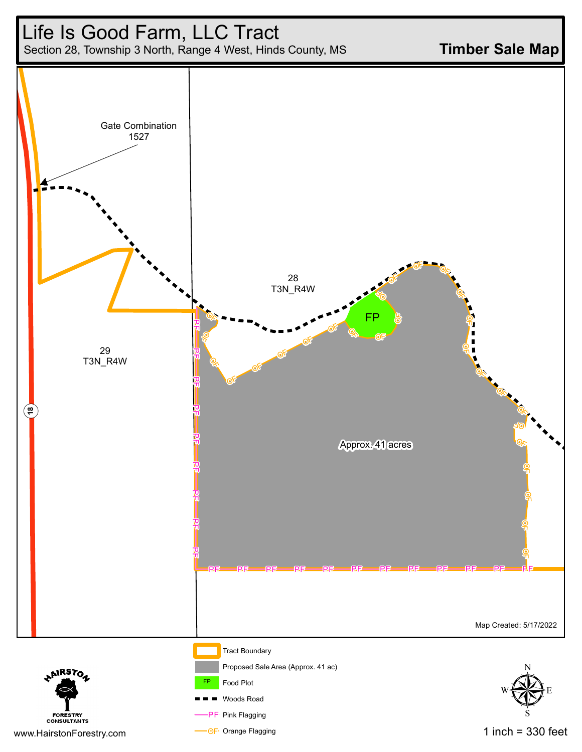